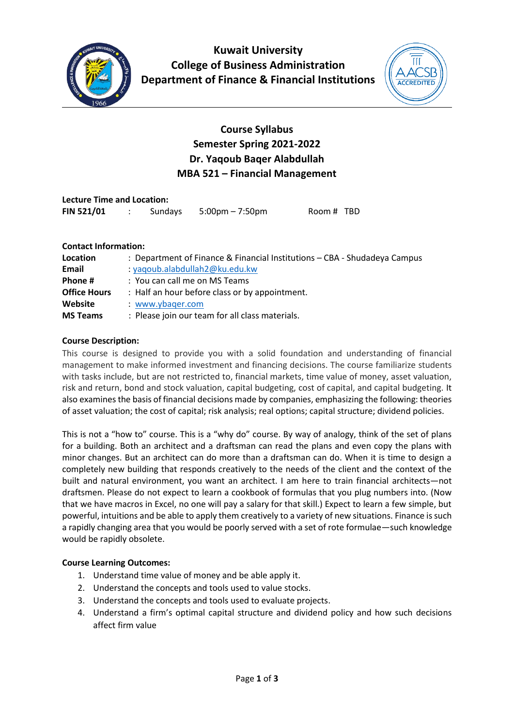

**Kuwait University College of Business Administration Department of Finance & Financial Institutions**



# **Course Syllabus Semester Spring 2021-2022 Dr. Yaqoub Baqer Alabdullah MBA 521 – Financial Management**

| <b>Lecture Time and Location:</b> |  |         |                                   |            |  |  |  |  |
|-----------------------------------|--|---------|-----------------------------------|------------|--|--|--|--|
| <b>FIN 521/01</b>                 |  | Sundays | $5:00 \text{pm} - 7:50 \text{pm}$ | Room # TBD |  |  |  |  |

#### **Contact Information:**

| Location            | : Department of Finance & Financial Institutions - CBA - Shudadeya Campus |
|---------------------|---------------------------------------------------------------------------|
| Email               | : yaqoub.alabdullah2@ku.edu.kw                                            |
| Phone #             | : You can call me on MS Teams                                             |
| <b>Office Hours</b> | : Half an hour before class or by appointment.                            |
| Website             | : www.ybager.com                                                          |
| <b>MS Teams</b>     | : Please join our team for all class materials.                           |

#### **Course Description:**

This course is designed to provide you with a solid foundation and understanding of financial management to make informed investment and financing decisions. The course familiarize students with tasks include, but are not restricted to, financial markets, time value of money, asset valuation, risk and return, bond and stock valuation, capital budgeting, cost of capital, and capital budgeting. It also examines the basis of financial decisions made by companies, emphasizing the following: theories of asset valuation; the cost of capital; risk analysis; real options; capital structure; dividend policies.

This is not a "how to" course. This is a "why do" course. By way of analogy, think of the set of plans for a building. Both an architect and a draftsman can read the plans and even copy the plans with minor changes. But an architect can do more than a draftsman can do. When it is time to design a completely new building that responds creatively to the needs of the client and the context of the built and natural environment, you want an architect. I am here to train financial architects—not draftsmen. Please do not expect to learn a cookbook of formulas that you plug numbers into. (Now that we have macros in Excel, no one will pay a salary for that skill.) Expect to learn a few simple, but powerful, intuitions and be able to apply them creatively to a variety of new situations. Finance is such a rapidly changing area that you would be poorly served with a set of rote formulae—such knowledge would be rapidly obsolete.

### **Course Learning Outcomes:**

- 1. Understand time value of money and be able apply it.
- 2. Understand the concepts and tools used to value stocks .
- 3. Understand the concepts and tools used to evaluate projects .
- 4. Understand a firm's optimal capital structure and dividend policy and how such decisions affect firm value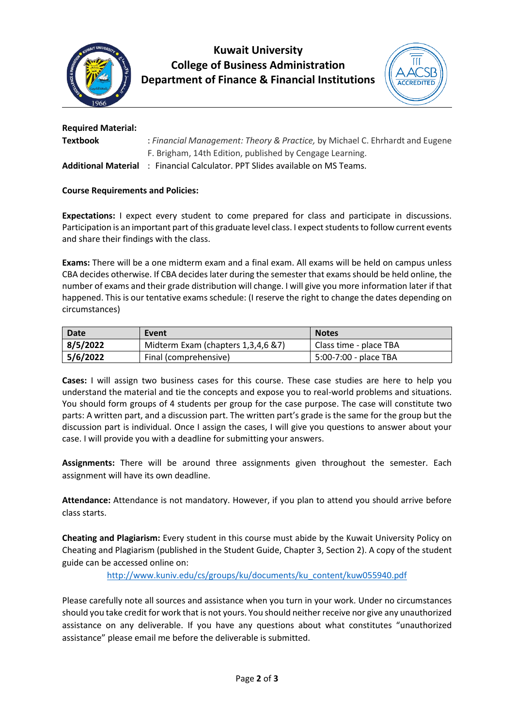

**Kuwait University College of Business Administration Department of Finance & Financial Institutions**



| <b>Required Material:</b>  |                                                                              |
|----------------------------|------------------------------------------------------------------------------|
| <b>Textbook</b>            | : Financial Management: Theory & Practice, by Michael C. Ehrhardt and Eugene |
|                            | F. Brigham, 14th Edition, published by Cengage Learning.                     |
| <b>Additional Material</b> | : Financial Calculator. PPT Slides available on MS Teams.                    |

### **Course Requirements and Policies:**

**Expectations:** I expect every student to come prepared for class and participate in discussions. Participation is an important part of this graduate level class. I expect students to follow current events and share their findings with the class.

**Exams:** There will be a one midterm exam and a final exam. All exams will be held on campus unless CBA decides otherwise. If CBA decides later during the semester that exams should be held online, the number of exams and their grade distribution will change. I will give you more information later if that happened. This is our tentative exams schedule: (I reserve the right to change the dates depending on circumstances)

| Date     | Event                              | <b>Notes</b>           |
|----------|------------------------------------|------------------------|
| 8/5/2022 | Midterm Exam (chapters 1,3,4,6 &7) | Class time - place TBA |
| 5/6/2022 | Final (comprehensive)              | 5:00-7:00 - place TBA  |

**Cases:** I will assign two business cases for this course. These case studies are here to help you understand the material and tie the concepts and expose you to real-world problems and situations. You should form groups of 4 students per group for the case purpose. The case will constitute two parts: A written part, and a discussion part. The written part's grade is the same for the group but the discussion part is individual. Once I assign the cases, I will give you questions to answer about your case. I will provide you with a deadline for submitting your answers.

**Assignments:** There will be around three assignments given throughout the semester. Each assignment will have its own deadline.

**Attendance:** Attendance is not mandatory. However, if you plan to attend you should arrive before class starts.

**Cheating and Plagiarism:** Every student in this course must abide by the Kuwait University Policy on Cheating and Plagiarism (published in the Student Guide, Chapter 3, Section 2). A copy of the student guide can be accessed online on:

[http://www.kuniv.edu/cs/groups/ku/documents/ku\\_content/kuw055940.pdf](http://www.kuniv.edu/cs/groups/ku/documents/ku_content/kuw055940.pdf)

Please carefully note all sources and assistance when you turn in your work. Under no circumstances should you take credit for work that is not yours. You should neither receive nor give any unauthorized assistance on any deliverable. If you have any questions about what constitutes "unauthorized assistance" please email me before the deliverable is submitted.